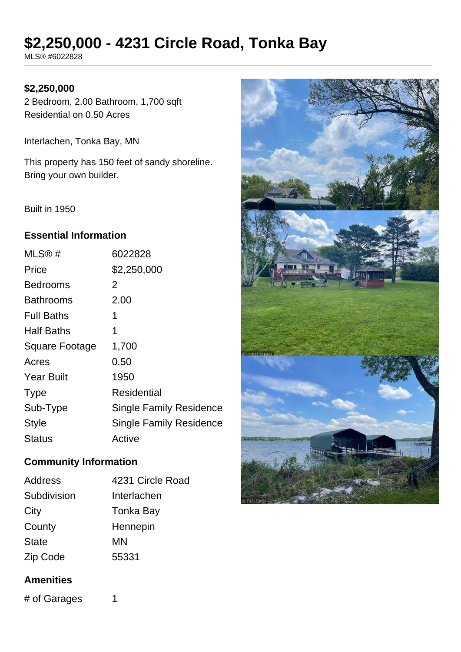# **\$2,250,000 - 4231 Circle Road, Tonka Bay**

MLS® #6022828

## **\$2,250,000**

2 Bedroom, 2.00 Bathroom, 1,700 sqft Residential on 0.50 Acres

Interlachen, Tonka Bay, MN

This property has 150 feet of sandy shoreline. Bring your own builder.

Built in 1950

## **Essential Information**

| MLS@#             | 6022828                        |
|-------------------|--------------------------------|
| Price             | \$2,250,000                    |
| <b>Bedrooms</b>   | 2                              |
| <b>Bathrooms</b>  | 2.00                           |
| <b>Full Baths</b> | 1                              |
| <b>Half Baths</b> | 1                              |
| Square Footage    | 1,700                          |
| Acres             | 0.50                           |
| <b>Year Built</b> | 1950                           |
| <b>Type</b>       | <b>Residential</b>             |
| Sub-Type          | <b>Single Family Residence</b> |
| <b>Style</b>      | <b>Single Family Residence</b> |
| Status            | Active                         |

## **Community Information**

| Address      | 4231 Circle Road |
|--------------|------------------|
| Subdivision  | Interlachen      |
| City         | Tonka Bay        |
| County       | Hennepin         |
| <b>State</b> | MN               |
| Zip Code     | 55331            |

#### **Amenities**

# of Garages 1